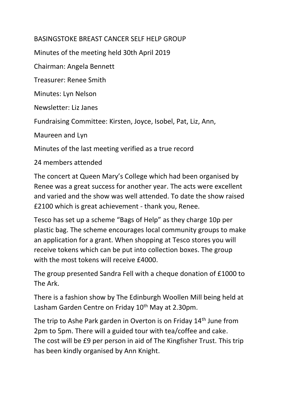## BASINGSTOKE BREAST CANCER SELF HELP GROUP

Minutes of the meeting held 30th April 2019

Chairman: Angela Bennett

Treasurer: Renee Smith

Minutes: Lyn Nelson

Newsletter: Liz Janes

Fundraising Committee: Kirsten, Joyce, Isobel, Pat, Liz, Ann,

Maureen and Lyn

Minutes of the last meeting verified as a true record

24 members attended

The concert at Queen Mary's College which had been organised by Renee was a great success for another year. The acts were excellent and varied and the show was well attended. To date the show raised £2100 which is great achievement - thank you, Renee.

Tesco has set up a scheme "Bags of Help" as they charge 10p per plastic bag. The scheme encourages local community groups to make an application for a grant. When shopping at Tesco stores you will receive tokens which can be put into collection boxes. The group with the most tokens will receive  $f4000$ .

The group presented Sandra Fell with a cheque donation of £1000 to The Ark.

There is a fashion show by The Edinburgh Woollen Mill being held at Lasham Garden Centre on Friday 10<sup>th</sup> May at 2.30pm.

The trip to Ashe Park garden in Overton is on Friday 14<sup>th</sup> June from 2pm to 5pm. There will a guided tour with tea/coffee and cake. The cost will be £9 per person in aid of The Kingfisher Trust. This trip has been kindly organised by Ann Knight.